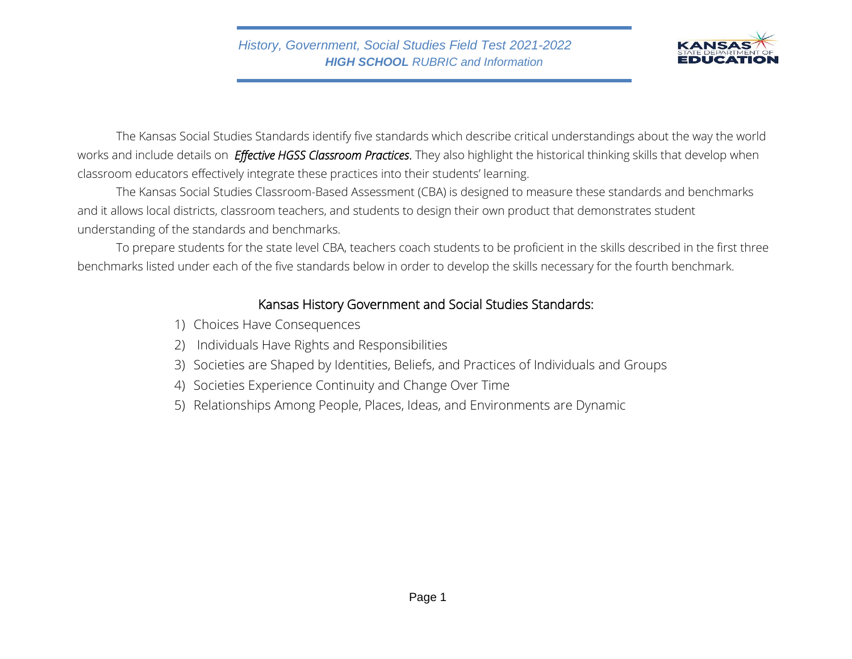

The Kansas Social Studies Standards identify five standards which describe critical understandings about the way the world works and include details on *Effective HGSS Classroom Practices*. They also highlight the historical thinking skills that develop when classroom educators effectively integrate these practices into their students' learning.

The Kansas Social Studies Classroom-Based Assessment (CBA) is designed to measure these standards and benchmarks and it allows local districts, classroom teachers, and students to design their own product that demonstrates student understanding of the standards and benchmarks.

To prepare students for the state level CBA, teachers coach students to be proficient in the skills described in the first three benchmarks listed under each of the five standards below in order to develop the skills necessary for the fourth benchmark.

## Kansas History Government and Social Studies Standards:

- 1) Choices Have Consequences
- 2) Individuals Have Rights and Responsibilities
- 3) Societies are Shaped by Identities, Beliefs, and Practices of Individuals and Groups
- 4) Societies Experience Continuity and Change Over Time
- 5) Relationships Among People, Places, Ideas, and Environments are Dynamic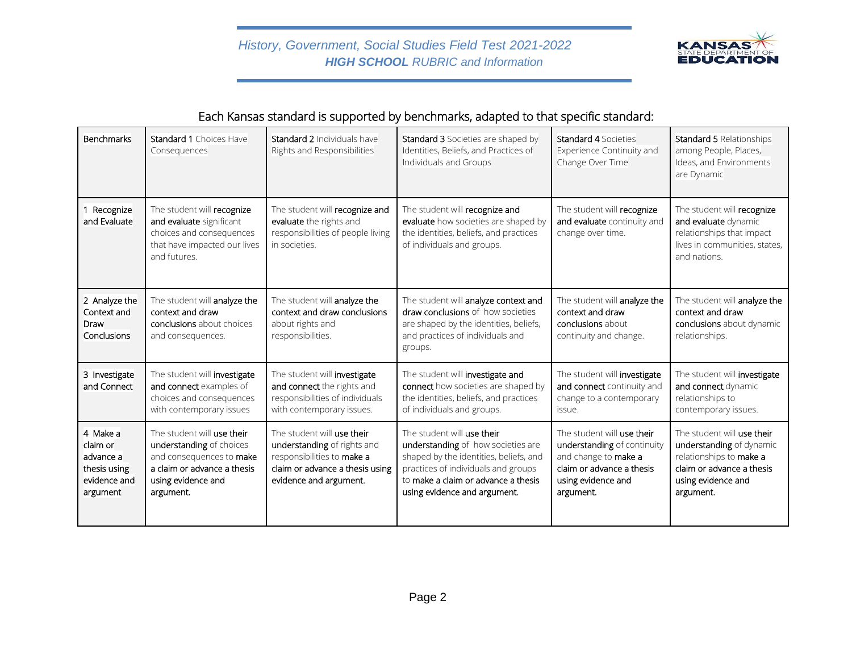

# Each Kansas standard is supported by benchmarks, adapted to that specific standard:

| <b>Benchmarks</b>                                                             | <b>Standard 1 Choices Have</b><br>Consequences                                                                                                       | <b>Standard 2 Individuals have</b><br>Rights and Responsibilities                                                                                    | Standard 3 Societies are shaped by<br>Identities, Beliefs, and Practices of<br>Individuals and Groups                                                                                                                    | <b>Standard 4 Societies</b><br>Experience Continuity and<br>Change Over Time                                                                      | <b>Standard 5 Relationships</b><br>among People, Places,<br>Ideas, and Environments<br>are Dynamic                                                |
|-------------------------------------------------------------------------------|------------------------------------------------------------------------------------------------------------------------------------------------------|------------------------------------------------------------------------------------------------------------------------------------------------------|--------------------------------------------------------------------------------------------------------------------------------------------------------------------------------------------------------------------------|---------------------------------------------------------------------------------------------------------------------------------------------------|---------------------------------------------------------------------------------------------------------------------------------------------------|
| 1 Recognize<br>and Evaluate                                                   | The student will recognize<br>and evaluate significant<br>choices and consequences<br>that have impacted our lives<br>and futures.                   | The student will recognize and<br>evaluate the rights and<br>responsibilities of people living<br>in societies.                                      | The student will recognize and<br>evaluate how societies are shaped by<br>the identities, beliefs, and practices<br>of individuals and groups.                                                                           | The student will recognize<br>and evaluate continuity and<br>change over time.                                                                    | The student will recognize<br>and evaluate dynamic<br>relationships that impact<br>lives in communities, states,<br>and nations.                  |
| 2 Analyze the<br>Context and<br>Draw<br>Conclusions                           | The student will analyze the<br>context and draw<br>conclusions about choices<br>and consequences.                                                   | The student will analyze the<br>context and draw conclusions<br>about rights and<br>responsibilities.                                                | The student will analyze context and<br>draw conclusions of how societies<br>are shaped by the identities, beliefs,<br>and practices of individuals and<br>groups.                                                       | The student will analyze the<br>context and draw<br>conclusions about<br>continuity and change.                                                   | The student will analyze the<br>context and draw<br>conclusions about dynamic<br>relationships.                                                   |
| 3 Investigate<br>and Connect                                                  | The student will investigate<br>and connect examples of<br>choices and consequences<br>with contemporary issues                                      | The student will investigate<br>and connect the rights and<br>responsibilities of individuals<br>with contemporary issues.                           | The student will investigate and<br>connect how societies are shaped by<br>the identities, beliefs, and practices<br>of individuals and groups.                                                                          | The student will investigate<br>and connect continuity and<br>change to a contemporary<br>issue.                                                  | The student will investigate<br>and connect dynamic<br>relationships to<br>contemporary issues.                                                   |
| 4 Make a<br>claim or<br>advance a<br>thesis using<br>evidence and<br>argument | The student will use their<br>understanding of choices<br>and consequences to make<br>a claim or advance a thesis<br>using evidence and<br>argument. | The student will use their<br>understanding of rights and<br>responsibilities to make a<br>claim or advance a thesis using<br>evidence and argument. | The student will use their<br>understanding of how societies are<br>shaped by the identities, beliefs, and<br>practices of individuals and groups<br>to make a claim or advance a thesis<br>using evidence and argument. | The student will use their<br>understanding of continuity<br>and change to make a<br>claim or advance a thesis<br>using evidence and<br>argument. | The student will use their<br>understanding of dynamic<br>relationships to make a<br>claim or advance a thesis<br>using evidence and<br>argument. |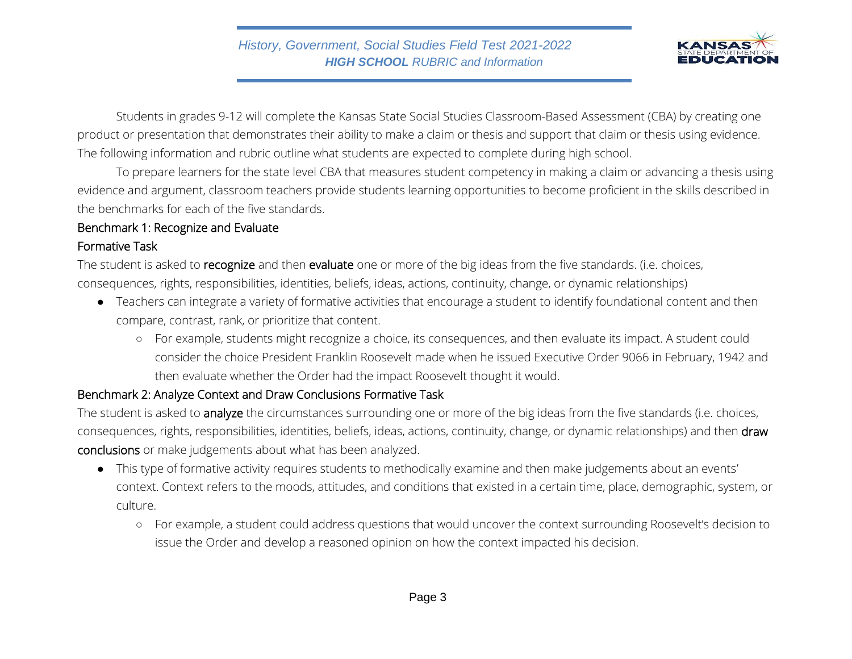

Students in grades 9-12 will complete the Kansas State Social Studies Classroom-Based Assessment (CBA) by creating one product or presentation that demonstrates their ability to make a claim or thesis and support that claim or thesis using evidence. The following information and rubric outline what students are expected to complete during high school.

To prepare learners for the state level CBA that measures student competency in making a claim or advancing a thesis using evidence and argument, classroom teachers provide students learning opportunities to become proficient in the skills described in the benchmarks for each of the five standards.

#### Benchmark 1: Recognize and Evaluate

#### Formative Task

The student is asked to recognize and then evaluate one or more of the big ideas from the five standards. (i.e. choices, consequences, rights, responsibilities, identities, beliefs, ideas, actions, continuity, change, or dynamic relationships)

- Teachers can integrate a variety of formative activities that encourage a student to identify foundational content and then compare, contrast, rank, or prioritize that content.
	- For example, students might recognize a choice, its consequences, and then evaluate its impact. A student could consider the choice President Franklin Roosevelt made when he issued Executive Order 9066 in February, 1942 and then evaluate whether the Order had the impact Roosevelt thought it would.

## Benchmark 2: Analyze Context and Draw Conclusions Formative Task

The student is asked to analyze the circumstances surrounding one or more of the big ideas from the five standards (i.e. choices, consequences, rights, responsibilities, identities, beliefs, ideas, actions, continuity, change, or dynamic relationships) and then draw conclusions or make judgements about what has been analyzed.

- This type of formative activity requires students to methodically examine and then make judgements about an events' context. Context refers to the moods, attitudes, and conditions that existed in a certain time, place, demographic, system, or culture.
	- For example, a student could address questions that would uncover the context surrounding Roosevelt's decision to issue the Order and develop a reasoned opinion on how the context impacted his decision.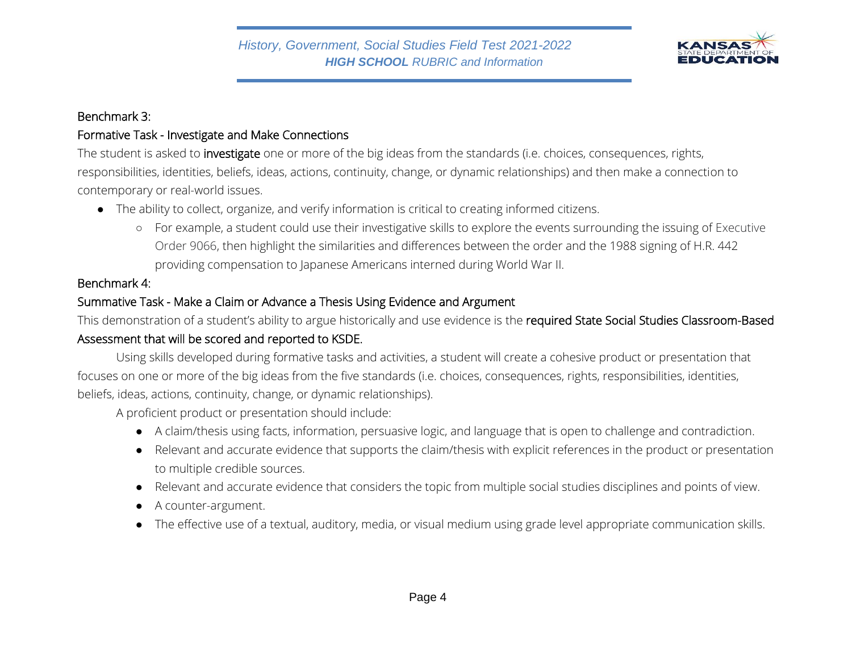

#### Benchmark 3:

## Formative Task - Investigate and Make Connections

The student is asked to *investigate* one or more of the big ideas from the standards (i.e. choices, consequences, rights, responsibilities, identities, beliefs, ideas, actions, continuity, change, or dynamic relationships) and then make a connection to contemporary or real-world issues.

- The ability to collect, organize, and verify information is critical to creating informed citizens.
	- For example, a student could use their investigative skills to explore the events surrounding the issuing of Executive Order 9066, then highlight the similarities and differences between the order and the 1988 signing of H.R. 442 providing compensation to Japanese Americans interned during World War II.

## Benchmark 4:

## Summative Task - Make a Claim or Advance a Thesis Using Evidence and Argument

This demonstration of a student's ability to argue historically and use evidence is the required State Social Studies Classroom-Based Assessment that will be scored and reported to KSDE.

Using skills developed during formative tasks and activities, a student will create a cohesive product or presentation that focuses on one or more of the big ideas from the five standards (i.e. choices, consequences, rights, responsibilities, identities, beliefs, ideas, actions, continuity, change, or dynamic relationships).

A proficient product or presentation should include:

- A claim/thesis using facts, information, persuasive logic, and language that is open to challenge and contradiction.
- Relevant and accurate evidence that supports the claim/thesis with explicit references in the product or presentation to multiple credible sources.
- Relevant and accurate evidence that considers the topic from multiple social studies disciplines and points of view.
- A counter-argument.
- The effective use of a textual, auditory, media, or visual medium using grade level appropriate communication skills.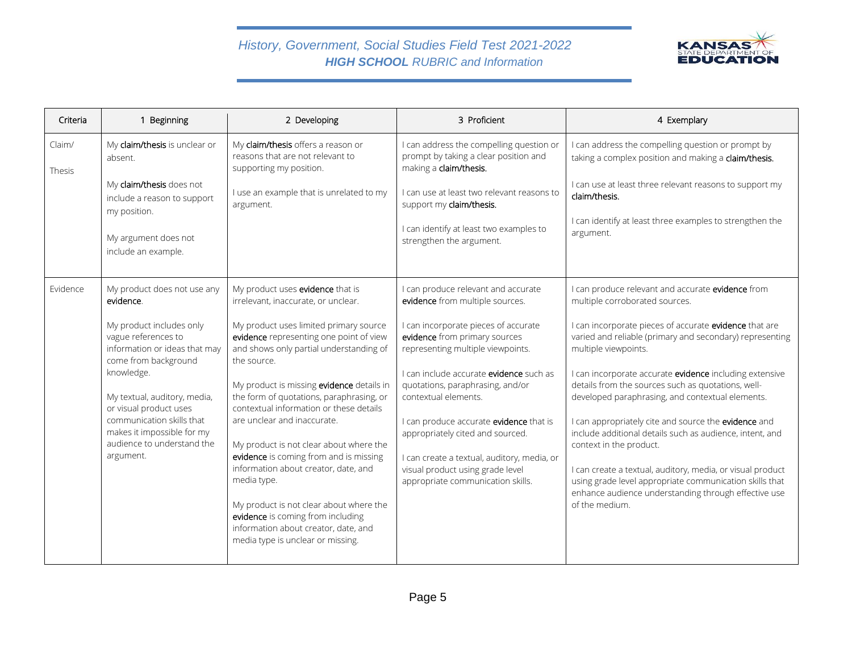## *History, Government, Social Studies Field Test 2021-2022 HIGH SCHOOL RUBRIC and Information*



| Criteria         | 1 Beginning                                                                                                                                                                                                                                                                            | 2 Developing                                                                                                                                                                                                                                                                                                                                                                                                                                                                                                                                                                                                            | 3 Proficient                                                                                                                                                                                                                                                                                                                                                                                                                    | 4 Exemplary                                                                                                                                                                                                                                                                                                                                                                                                                                                                                                                                                                                                                                                       |
|------------------|----------------------------------------------------------------------------------------------------------------------------------------------------------------------------------------------------------------------------------------------------------------------------------------|-------------------------------------------------------------------------------------------------------------------------------------------------------------------------------------------------------------------------------------------------------------------------------------------------------------------------------------------------------------------------------------------------------------------------------------------------------------------------------------------------------------------------------------------------------------------------------------------------------------------------|---------------------------------------------------------------------------------------------------------------------------------------------------------------------------------------------------------------------------------------------------------------------------------------------------------------------------------------------------------------------------------------------------------------------------------|-------------------------------------------------------------------------------------------------------------------------------------------------------------------------------------------------------------------------------------------------------------------------------------------------------------------------------------------------------------------------------------------------------------------------------------------------------------------------------------------------------------------------------------------------------------------------------------------------------------------------------------------------------------------|
| Claim/<br>Thesis | My claim/thesis is unclear or<br>absent.                                                                                                                                                                                                                                               | My claim/thesis offers a reason or<br>reasons that are not relevant to<br>supporting my position.                                                                                                                                                                                                                                                                                                                                                                                                                                                                                                                       | I can address the compelling question or<br>prompt by taking a clear position and<br>making a claim/thesis.                                                                                                                                                                                                                                                                                                                     | I can address the compelling question or prompt by<br>taking a complex position and making a claim/thesis.                                                                                                                                                                                                                                                                                                                                                                                                                                                                                                                                                        |
|                  | My claim/thesis does not<br>include a reason to support<br>my position.                                                                                                                                                                                                                | I use an example that is unrelated to my<br>argument.                                                                                                                                                                                                                                                                                                                                                                                                                                                                                                                                                                   | I can use at least two relevant reasons to<br>support my claim/thesis.                                                                                                                                                                                                                                                                                                                                                          | I can use at least three relevant reasons to support my<br>claim/thesis.                                                                                                                                                                                                                                                                                                                                                                                                                                                                                                                                                                                          |
|                  | My argument does not<br>include an example.                                                                                                                                                                                                                                            |                                                                                                                                                                                                                                                                                                                                                                                                                                                                                                                                                                                                                         | I can identify at least two examples to<br>strengthen the argument.                                                                                                                                                                                                                                                                                                                                                             | I can identify at least three examples to strengthen the<br>argument.                                                                                                                                                                                                                                                                                                                                                                                                                                                                                                                                                                                             |
| Evidence         | My product does not use any<br>evidence.                                                                                                                                                                                                                                               | My product uses evidence that is<br>irrelevant, inaccurate, or unclear.                                                                                                                                                                                                                                                                                                                                                                                                                                                                                                                                                 | I can produce relevant and accurate<br>evidence from multiple sources.                                                                                                                                                                                                                                                                                                                                                          | I can produce relevant and accurate evidence from<br>multiple corroborated sources.                                                                                                                                                                                                                                                                                                                                                                                                                                                                                                                                                                               |
|                  | My product includes only<br>vague references to<br>information or ideas that may<br>come from background<br>knowledge.<br>My textual, auditory, media,<br>or visual product uses<br>communication skills that<br>makes it impossible for my<br>audience to understand the<br>argument. | My product uses limited primary source<br>evidence representing one point of view<br>and shows only partial understanding of<br>the source.<br>My product is missing evidence details in<br>the form of quotations, paraphrasing, or<br>contextual information or these details<br>are unclear and inaccurate.<br>My product is not clear about where the<br>evidence is coming from and is missing<br>information about creator, date, and<br>media type.<br>My product is not clear about where the<br>evidence is coming from including<br>information about creator, date, and<br>media type is unclear or missing. | I can incorporate pieces of accurate<br>evidence from primary sources<br>representing multiple viewpoints.<br>I can include accurate <b>evidence</b> such as<br>quotations, paraphrasing, and/or<br>contextual elements.<br>I can produce accurate evidence that is<br>appropriately cited and sourced.<br>I can create a textual, auditory, media, or<br>visual product using grade level<br>appropriate communication skills. | I can incorporate pieces of accurate evidence that are<br>varied and reliable (primary and secondary) representing<br>multiple viewpoints.<br>I can incorporate accurate evidence including extensive<br>details from the sources such as quotations, well-<br>developed paraphrasing, and contextual elements.<br>I can appropriately cite and source the evidence and<br>include additional details such as audience, intent, and<br>context in the product.<br>I can create a textual, auditory, media, or visual product<br>using grade level appropriate communication skills that<br>enhance audience understanding through effective use<br>of the medium. |